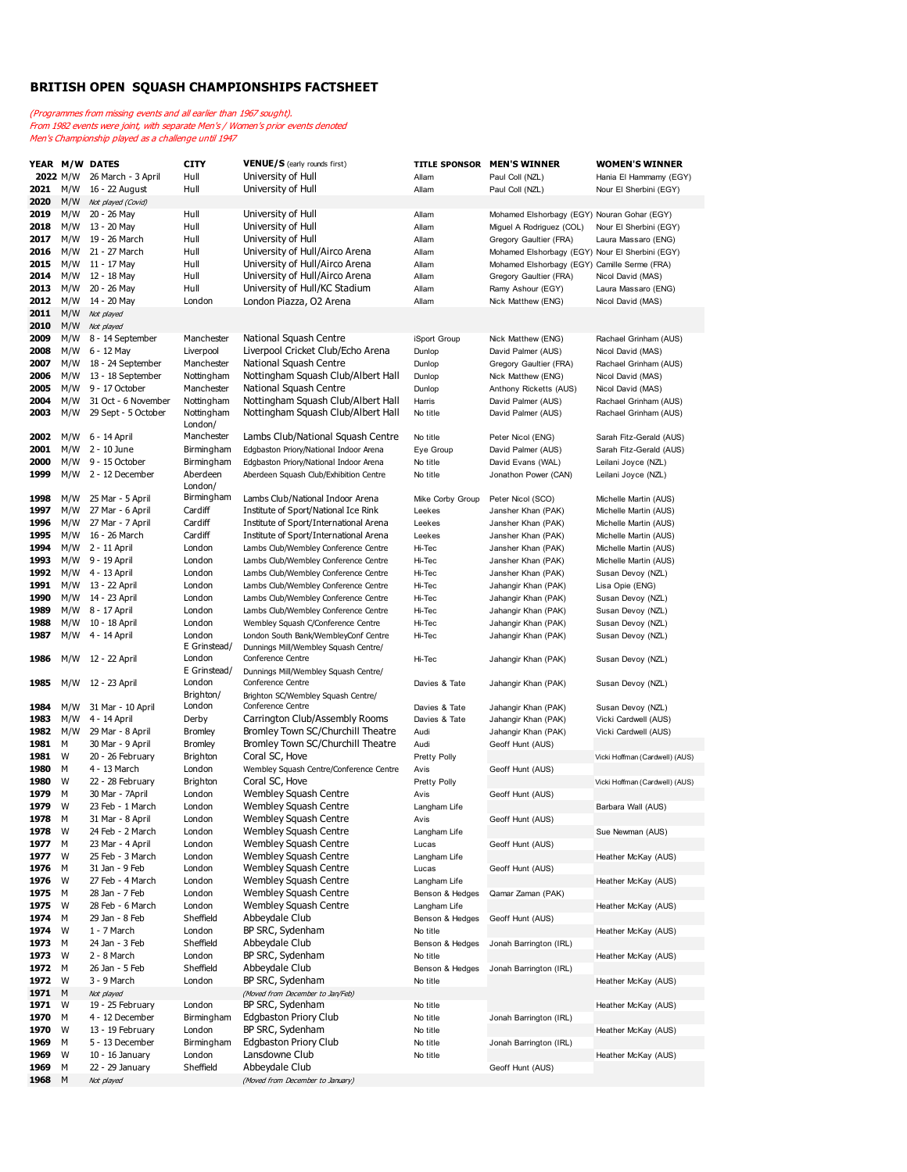## **BRITISH OPEN SQUASH CHAMPIONSHIPS FACTSHEET**

(Programmes from missing events and all earlier than 1967 sought). From 1982 events were joint, with separate Men's / Women's prior events denoted Men's Championship played as a challenge until 1947

|      |          | YEAR M/W DATES                | <b>CITY</b>     | VENUE/S (early rounds first)                                               |                  | TITLE SPONSOR MEN'S WINNER                      | <b>WOMEN'S WINNER</b>          |
|------|----------|-------------------------------|-----------------|----------------------------------------------------------------------------|------------------|-------------------------------------------------|--------------------------------|
|      | 2022 M/W | 26 March - 3 April            | Hull            | University of Hull                                                         | Allam            | Paul Coll (NZL)                                 | Hania El Hammamy (EGY)         |
| 2021 | M/W      | 16 - 22 August                | Hull            | University of Hull                                                         | Allam            | Paul Coll (NZL)                                 | Nour El Sherbini (EGY)         |
| 2020 | M/W      | Not played (Covid)            |                 |                                                                            |                  |                                                 |                                |
| 2019 | M/W      | 20 - 26 May                   | Hull            | University of Hull                                                         | Allam            | Mohamed Elshorbagy (EGY) Nouran Gohar (EGY)     |                                |
| 2018 | M/W      | 13 - 20 May                   | Hull            | University of Hull                                                         | Allam            | Miguel A Rodriguez (COL)                        | Nour El Sherbini (EGY)         |
| 2017 | M/W      | 19 - 26 March                 | Hull            | University of Hull                                                         | Allam            | Gregory Gaultier (FRA)                          | Laura Massaro (ENG)            |
| 2016 | M/W      | 21 - 27 March                 | Hull            | University of Hull/Airco Arena                                             | Allam            | Mohamed Elshorbagy (EGY) Nour El Sherbini (EGY) |                                |
| 2015 | M/W      | 11 - 17 May                   | Hull            | University of Hull/Airco Arena                                             | Allam            | Mohamed Elshorbagy (EGY) Camille Serme (FRA)    |                                |
| 2014 |          | M/W 12 - 18 May               | Hull            | University of Hull/Airco Arena                                             | Allam            | Gregory Gaultier (FRA)                          | Nicol David (MAS)              |
| 2013 | M/W      | 20 - 26 May                   | Hull            | University of Hull/KC Stadium                                              | Allam            | Ramy Ashour (EGY)                               | Laura Massaro (ENG)            |
| 2012 | M/W      | 14 - 20 May                   | London          | London Piazza, O2 Arena                                                    | Allam            | Nick Matthew (ENG)                              | Nicol David (MAS)              |
| 2011 | M/W      | Not played                    |                 |                                                                            |                  |                                                 |                                |
| 2010 |          | M/W Not played                |                 |                                                                            |                  |                                                 |                                |
| 2009 | M/W      | 8 - 14 September              | Manchester      | National Squash Centre                                                     | iSport Group     | Nick Matthew (ENG)                              | Rachael Grinham (AUS)          |
| 2008 | M/W      | 6 - 12 May                    | Liverpool       | Liverpool Cricket Club/Echo Arena                                          | Dunlop           | David Palmer (AUS)                              | Nicol David (MAS)              |
| 2007 | M/W      | 18 - 24 September             | Manchester      | National Squash Centre                                                     | Dunlop           | Gregory Gaultier (FRA)                          | Rachael Grinham (AUS)          |
| 2006 | M/W      | 13 - 18 September             | Nottingham      | Nottingham Squash Club/Albert Hall                                         | Dunlop           | Nick Matthew (ENG)                              | Nicol David (MAS)              |
| 2005 | M/W      | 9 - 17 October                | Manchester      | National Squash Centre                                                     | Dunlop           | Anthony Ricketts (AUS)                          | Nicol David (MAS)              |
| 2004 | M/W      | 31 Oct - 6 November           | Nottingham      | Nottingham Squash Club/Albert Hall                                         | Harris           | David Palmer (AUS)                              | Rachael Grinham (AUS)          |
| 2003 | M/W      | 29 Sept - 5 October           | Nottingham      | Nottingham Squash Club/Albert Hall                                         | No title         | David Palmer (AUS)                              | Rachael Grinham (AUS)          |
|      |          |                               | London/         |                                                                            |                  |                                                 |                                |
| 2002 | M/W      | 6 - 14 April                  | Manchester      | Lambs Club/National Squash Centre                                          | No title         | Peter Nicol (ENG)                               | Sarah Fitz-Gerald (AUS)        |
| 2001 | M/W      | 2 - 10 June                   | Birmingham      | Edgbaston Priory/National Indoor Arena                                     | Eye Group        | David Palmer (AUS)                              | Sarah Fitz-Gerald (AUS)        |
| 2000 | M/W      | 9 - 15 October                | Birmingham      | Edgbaston Priory/National Indoor Arena                                     | No title         | David Evans (WAL)                               | Leilani Joyce (NZL)            |
| 1999 |          | $M/W$ 2 - 12 December         | Aberdeen        | Aberdeen Squash Club/Exhibition Centre                                     | No title         | Jonathon Power (CAN)                            | Leilani Joyce (NZL)            |
|      |          |                               | London/         |                                                                            |                  |                                                 |                                |
| 1998 | M/W      | 25 Mar - 5 April              | Birmingham      | Lambs Club/National Indoor Arena                                           | Mike Corby Group | Peter Nicol (SCO)                               | Michelle Martin (AUS)          |
| 1997 | M/W      | 27 Mar - 6 April              | Cardiff         | Institute of Sport/National Ice Rink                                       | Leekes           | Jansher Khan (PAK)                              | Michelle Martin (AUS)          |
| 1996 | M/W      | 27 Mar - 7 April              | Cardiff         | Institute of Sport/International Arena                                     | Leekes           | Jansher Khan (PAK)                              | Michelle Martin (AUS)          |
| 1995 | M/W      | 16 - 26 March                 | Cardiff         | Institute of Sport/International Arena                                     | Leekes           | Jansher Khan (PAK)                              | Michelle Martin (AUS)          |
| 1994 |          | M/W 2 - 11 April              | London          | Lambs Club/Wembley Conference Centre                                       | Hi-Tec           | Jansher Khan (PAK)                              | Michelle Martin (AUS)          |
| 1993 |          | M/W 9 - 19 April              | London          | Lambs Club/Wembley Conference Centre                                       | Hi-Tec           |                                                 | Michelle Martin (AUS)          |
| 1992 |          | M/W 4 - 13 April              | London          | Lambs Club/Wembley Conference Centre                                       | Hi-Tec           | Jansher Khan (PAK)<br>Jansher Khan (PAK)        | Susan Devoy (NZL)              |
| 1991 |          | M/W 13 - 22 April             | London          |                                                                            |                  |                                                 |                                |
| 1990 | M/W      | 14 - 23 April                 | London          | Lambs Club/Wembley Conference Centre                                       | Hi-Tec           | Jahangir Khan (PAK)                             | Lisa Opie (ENG)                |
| 1989 | M/W      |                               | London          | Lambs Club/Wembley Conference Centre                                       | Hi-Tec           | Jahangir Khan (PAK)                             | Susan Devoy (NZL)              |
| 1988 | M/W      | 8 - 17 April<br>10 - 18 April | London          | Lambs Club/Wembley Conference Centre<br>Wembley Squash C/Conference Centre | Hi-Tec           | Jahangir Khan (PAK)                             | Susan Devoy (NZL)              |
| 1987 | M/W      | 4 - 14 April                  | London          |                                                                            | Hi-Tec           | Jahangir Khan (PAK)                             | Susan Devoy (NZL)              |
|      |          |                               | E Grinstead/    | London South Bank/WembleyConf Centre                                       | Hi-Tec           | Jahangir Khan (PAK)                             | Susan Devoy (NZL)              |
| 1986 | M/W      | 12 - 22 April                 | London          | Dunnings Mill/Wembley Squash Centre/<br>Conference Centre                  | Hi-Tec           | Jahangir Khan (PAK)                             | Susan Devoy (NZL)              |
|      |          |                               | E Grinstead/    | Dunnings Mill/Wembley Squash Centre/                                       |                  |                                                 |                                |
| 1985 |          | M/W 12 - 23 April             | London          | Conference Centre                                                          | Davies & Tate    | Jahangir Khan (PAK)                             | Susan Devoy (NZL)              |
|      |          |                               | Brighton/       | Brighton SC/Wembley Squash Centre/                                         |                  |                                                 |                                |
| 1984 | M/W      | 31 Mar - 10 April             | London          | Conference Centre                                                          | Davies & Tate    | Jahangir Khan (PAK)                             | Susan Devoy (NZL)              |
| 1983 | M/W      | 4 - 14 April                  | Derby           | Carrington Club/Assembly Rooms                                             | Davies & Tate    | Jahangir Khan (PAK)                             | Vicki Cardwell (AUS)           |
| 1982 | M/W      | 29 Mar - 8 April              | <b>Bromley</b>  | Bromley Town SC/Churchill Theatre                                          | Audi             | Jahangir Khan (PAK)                             | Vicki Cardwell (AUS)           |
| 1981 | М        | 30 Mar - 9 April              | <b>Bromley</b>  | Bromley Town SC/Churchill Theatre                                          | Audi             | Geoff Hunt (AUS)                                |                                |
| 1981 | W        | 20 - 26 February              | <b>Brighton</b> | Coral SC, Hove                                                             | Pretty Polly     |                                                 | Vicki Hoffman (Cardwell) (AUS) |
| 1980 | М        | 4 - 13 March                  | London          | Wembley Squash Centre/Conference Centre                                    | Avis             | Geoff Hunt (AUS)                                |                                |
| 1980 | W        | 22 - 28 February              | <b>Brighton</b> | Coral SC, Hove                                                             | Pretty Polly     |                                                 | Vicki Hoffman (Cardwell) (AUS) |
| 1979 | М        | 30 Mar - 7April               | London          | Wembley Squash Centre                                                      | Avis             | Geoff Hunt (AUS)                                |                                |
| 1979 | W        | 23 Feb - 1 March              | London          | <b>Wembley Squash Centre</b>                                               | Langham Life     |                                                 | Barbara Wall (AUS)             |
| 1978 | М        | 31 Mar - 8 April              | London          | Wembley Squash Centre                                                      | Avis             | Geoff Hunt (AUS)                                |                                |
| 1978 | W        | 24 Feb - 2 March              | London          | <b>Wembley Squash Centre</b>                                               | Langham Life     |                                                 | Sue Newman (AUS)               |
| 1977 | M        | 23 Mar - 4 April              | London          | <b>Wembley Squash Centre</b>                                               | Lucas            | Geoff Hunt (AUS)                                |                                |
| 1977 | W        | 25 Feb - 3 March              | London          | <b>Wembley Squash Centre</b>                                               | Langham Life     |                                                 | Heather McKay (AUS)            |
| 1976 | м        | 31 Jan - 9 Feb                | London          | <b>Wembley Squash Centre</b>                                               | Lucas            | Geoff Hunt (AUS)                                |                                |
| 1976 | W        | 27 Feb - 4 March              | London          | <b>Wembley Squash Centre</b>                                               | Langham Life     |                                                 | Heather McKay (AUS)            |
| 1975 | М        | 28 Jan - 7 Feb                | London          | <b>Wembley Squash Centre</b>                                               | Benson & Hedges  | Qamar Zaman (PAK)                               |                                |
| 1975 | W        | 28 Feb - 6 March              | London          | <b>Wembley Squash Centre</b>                                               | Langham Life     |                                                 | Heather McKay (AUS)            |
| 1974 | м        | 29 Jan - 8 Feb                | Sheffield       | Abbeydale Club                                                             | Benson & Hedges  | Geoff Hunt (AUS)                                |                                |
| 1974 | W        | 1 - 7 March                   | London          | BP SRC, Sydenham                                                           | No title         |                                                 | Heather McKay (AUS)            |
| 1973 | М        | 24 Jan - 3 Feb                | Sheffield       | Abbeydale Club                                                             | Benson & Hedges  | Jonah Barrington (IRL)                          |                                |
| 1973 | W        | 2 - 8 March                   | London          | BP SRC, Sydenham                                                           | No title         |                                                 | Heather McKay (AUS)            |
| 1972 | M        | 26 Jan - 5 Feb                | Sheffield       | Abbeydale Club                                                             | Benson & Hedges  | Jonah Barrington (IRL)                          |                                |
| 1972 | W        | 3 - 9 March                   | London          | BP SRC, Sydenham                                                           | No title         |                                                 | Heather McKay (AUS)            |
| 1971 | M        | Not played                    |                 | (Moved from December to Jan/Feb)                                           |                  |                                                 |                                |
| 1971 | W        | 19 - 25 February              | London          | BP SRC, Sydenham                                                           | No title         |                                                 | Heather McKay (AUS)            |
| 1970 | М        | 4 - 12 December               | Birmingham      | <b>Edgbaston Priory Club</b>                                               | No title         | Jonah Barrington (IRL)                          |                                |
| 1970 | W        | 13 - 19 February              | London          | BP SRC, Sydenham                                                           | No title         |                                                 | Heather McKay (AUS)            |
| 1969 | м        | 5 - 13 December               | Birmingham      | <b>Edgbaston Priory Club</b>                                               | No title         | Jonah Barrington (IRL)                          |                                |
| 1969 | W        | 10 - 16 January               | London          | Lansdowne Club                                                             | No title         |                                                 | Heather McKay (AUS)            |
| 1969 | М        | 22 - 29 January               | Sheffield       | Abbeydale Club                                                             |                  | Geoff Hunt (AUS)                                |                                |
| 1968 | M        | Not played                    |                 | (Moved from December to January)                                           |                  |                                                 |                                |
|      |          |                               |                 |                                                                            |                  |                                                 |                                |